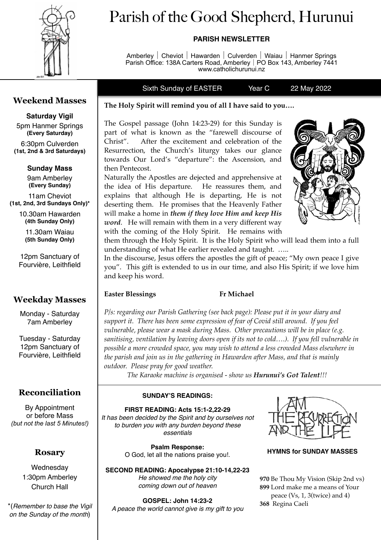

# Parish of the Good Shepherd, Hurunui

## **PARISH NEWSLETTER**

Amberley│Cheviot│Hawarden│Culverden│Waiau│Hanmer Springs Parish Office: 138A Carters Road, Amberley│PO Box 143, Amberley 7441 www.catholichurunui.nz

Sixth Sunday of EASTER Year C 22 May 2022

# **Weekend Masses**

# **Saturday Vigil**

5pm Hanmer Springs **(Every Saturday)** 

6:30pm Culverden **(1st, 2nd & 3rd Saturdays)** 

## **Sunday Mass**  9am Amberley

**(Every Sunday)**  11am Cheviot

**(1st, 2nd, 3rd Sundays Only)\*** 

10.30am Hawarden **(4th Sunday Only)** 

> 11.30am Waiau **(5th Sunday Only)**

12pm Sanctuary of Fourvière, Leithfield

# **Weekday Masses**

Monday - Saturday 7am Amberley

Tuesday - Saturday 12pm Sanctuary of Fourvière, Leithfield

# **Reconciliation**

By Appointment or before Mass *(but not the last 5 Minutes!)*

# **Rosary**

**Wednesdav** 1:30pm Amberley Church Hall

\*(*Remember to base the Vigil on the Sunday of the month*)

## **The Holy Spirit will remind you of all I have said to you….**

The Gospel passage (John 14:23-29) for this Sunday is part of what is known as the "farewell discourse of Christ". After the excitement and celebration of the Resurrection, the Church's liturgy takes our glance towards Our Lord's "departure": the Ascension, and then Pentecost.

Naturally the Apostles are dejected and apprehensive at the idea of His departure. He reassures them, and explains that although He is departing, He is not deserting them. He promises that the Heavenly Father will make a home in *them if they love Him and keep His word*. He will remain with them in a very different way with the coming of the Holy Spirit. He remains with



them through the Holy Spirit. It is the Holy Spirit who will lead them into a full understanding of what He earlier revealed and taught. …..

In the discourse, Jesus offers the apostles the gift of peace; "My own peace I give you". This gift is extended to us in our time, and also His Spirit; if we love him and keep his word.

### **Easter Blessings Fr Michael**

*P/s: regarding our Parish Gathering (see back page): Please put it in your diary and support it. There has been some expression of fear of Covid still around. If you feel vulnerable, please wear a mask during Mass. Other precautions will be in place (e.g. sanitising, ventilation by leaving doors open if its not to cold….). If you fell vulnerable in possible a more crowded space, you may wish to attend a less crowded Mass elsewhere in the parish and join us in the gathering in Hawarden after Mass, and that is mainly outdoor. Please pray for good weather.* 

*The Karaoke machine is organised - show us Hurunui's Got Talent!!!*

### **SUNDAY'S READINGS:**

**FIRST READING: Acts 15:1-2,22-29**  *It has been decided by the Spirit and by ourselves not to burden you with any burden beyond these essentials* 

> **Psalm Response:** O God, let all the nations praise you!.

**SECOND READING: Apocalypse 21:10-14,22-23**  *He showed me the holy city coming down out of heaven* 

**HYMNS for SUNDAY MASSES** 

Be Thou My Vision (Skip 2nd vs) Lord make me a means of Your peace (Vs, 1, 3(twice) and 4) Regina Caeli

### **GOSPEL: John 14:23-2**

*A peace the world cannot give is my gift to you*